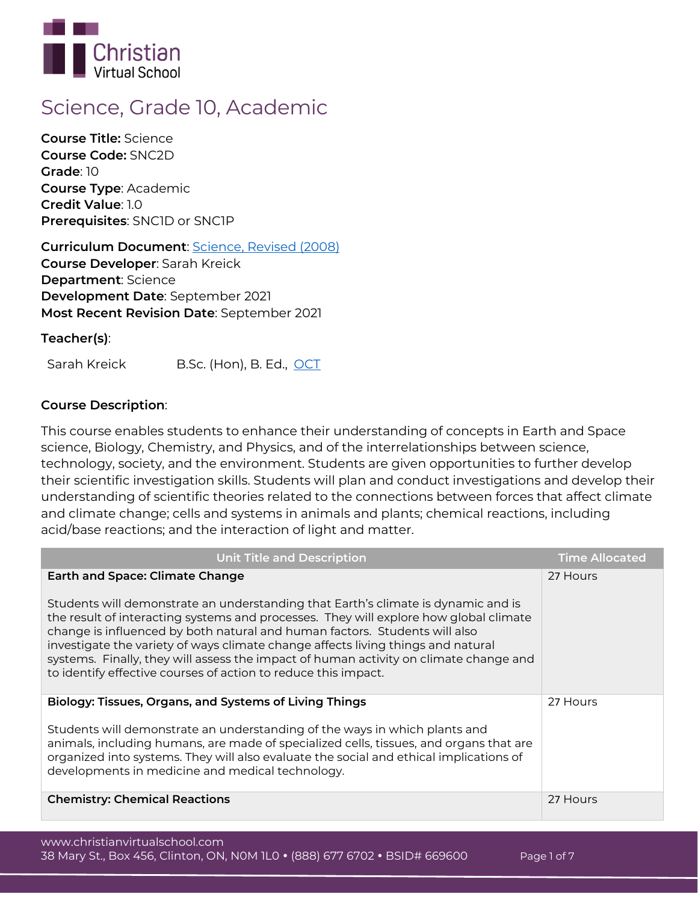

# **Science, Grade 10, Academic**

**Course Title:** Science **Course Code:** SNC2D **Grade**: 10 **Course Type**: Academic **Credit Value**: 1.0 **Prerequisites**: SNC1D or SNC1P

**Curriculum Document**: [Science, Revised \(2008\)](http://www.edu.gov.on.ca/eng/curriculum/secondary/science910_2008.pdf) **Course Developer**: Sarah Kreick **Department**: Science **Development Date**: September 2021 **Most Recent Revision Date**: September 2021

**Teacher(s)**:

Sarah Kreick B.Sc. (Hon), B. Ed., [OCT](https://apps.oct.ca/FindATeacher/memberdetail?id=467535)

# **Course Description**:

This course enables students to enhance their understanding of concepts in Earth and Space science, Biology, Chemistry, and Physics, and of the interrelationships between science, technology, society, and the environment. Students are given opportunities to further develop their scientific investigation skills. Students will plan and conduct investigations and develop their understanding of scientific theories related to the connections between forces that affect climate and climate change; cells and systems in animals and plants; chemical reactions, including acid/base reactions; and the interaction of light and matter.

| <b>Unit Title and Description</b>                                                                                                                                                                                                                                                                                                                                                                                                                                                                                                                 | <b>Time Allocated</b> |
|---------------------------------------------------------------------------------------------------------------------------------------------------------------------------------------------------------------------------------------------------------------------------------------------------------------------------------------------------------------------------------------------------------------------------------------------------------------------------------------------------------------------------------------------------|-----------------------|
| <b>Earth and Space: Climate Change</b><br>Students will demonstrate an understanding that Earth's climate is dynamic and is<br>the result of interacting systems and processes. They will explore how global climate<br>change is influenced by both natural and human factors. Students will also<br>investigate the variety of ways climate change affects living things and natural<br>systems. Finally, they will assess the impact of human activity on climate change and<br>to identify effective courses of action to reduce this impact. | 27 Hours              |
| Biology: Tissues, Organs, and Systems of Living Things<br>Students will demonstrate an understanding of the ways in which plants and<br>animals, including humans, are made of specialized cells, tissues, and organs that are<br>organized into systems. They will also evaluate the social and ethical implications of<br>developments in medicine and medical technology.                                                                                                                                                                      | 27 Hours              |
| <b>Chemistry: Chemical Reactions</b>                                                                                                                                                                                                                                                                                                                                                                                                                                                                                                              | 27 Hours              |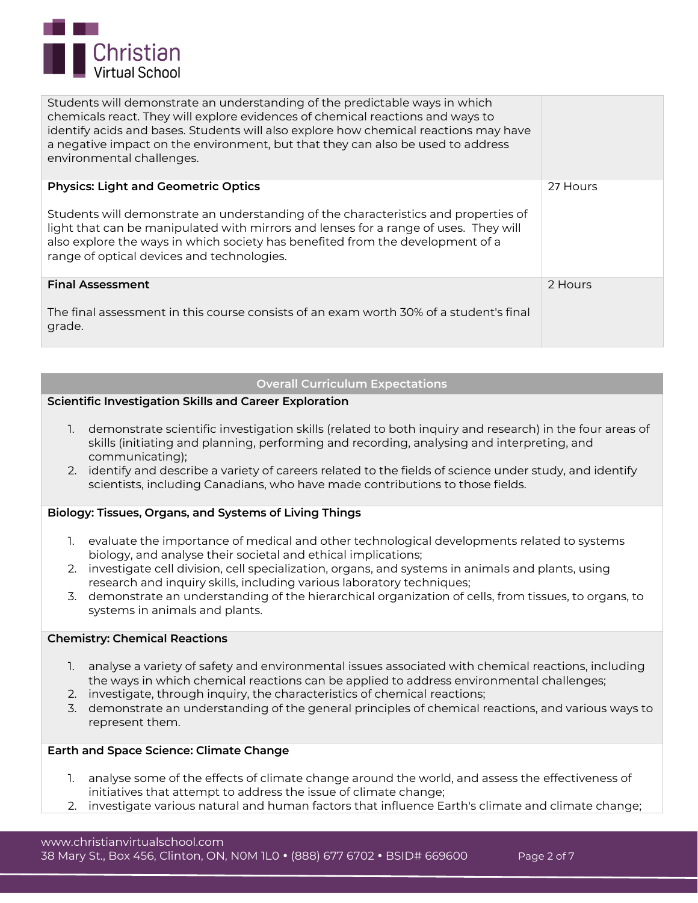

| Students will demonstrate an understanding of the predictable ways in which<br>chemicals react. They will explore evidences of chemical reactions and ways to<br>identify acids and bases. Students will also explore how chemical reactions may have<br>a negative impact on the environment, but that they can also be used to address<br>environmental challenges. |          |
|-----------------------------------------------------------------------------------------------------------------------------------------------------------------------------------------------------------------------------------------------------------------------------------------------------------------------------------------------------------------------|----------|
| <b>Physics: Light and Geometric Optics</b>                                                                                                                                                                                                                                                                                                                            | 27 Hours |
| Students will demonstrate an understanding of the characteristics and properties of<br>light that can be manipulated with mirrors and lenses for a range of uses. They will<br>also explore the ways in which society has benefited from the development of a<br>range of optical devices and technologies.                                                           |          |
| <b>Final Assessment</b>                                                                                                                                                                                                                                                                                                                                               | 2 Hours  |
| The final assessment in this course consists of an exam worth 30% of a student's final<br>grade.                                                                                                                                                                                                                                                                      |          |

#### **Overall Curriculum Expectations**

# **Scientific Investigation Skills and Career Exploration**

- 1. demonstrate scientific investigation skills (related to both inquiry and research) in the four areas of skills (initiating and planning, performing and recording, analysing and interpreting, and communicating);
- 2. identify and describe a variety of careers related to the fields of science under study, and identify scientists, including Canadians, who have made contributions to those fields.

### **Biology: Tissues, Organs, and Systems of Living Things**

- 1. evaluate the importance of medical and other technological developments related to systems biology, and analyse their societal and ethical implications;
- 2. investigate cell division, cell specialization, organs, and systems in animals and plants, using research and inquiry skills, including various laboratory techniques;
- 3. demonstrate an understanding of the hierarchical organization of cells, from tissues, to organs, to systems in animals and plants.

# **Chemistry: Chemical Reactions**

- 1. analyse a variety of safety and environmental issues associated with chemical reactions, including the ways in which chemical reactions can be applied to address environmental challenges;
- 2. investigate, through inquiry, the characteristics of chemical reactions;
- 3. demonstrate an understanding of the general principles of chemical reactions, and various ways to represent them.

# **Earth and Space Science: Climate Change**

- 1. analyse some of the effects of climate change around the world, and assess the effectiveness of initiatives that attempt to address the issue of climate change;
- 2. investigate various natural and human factors that influence Earth's climate and climate change;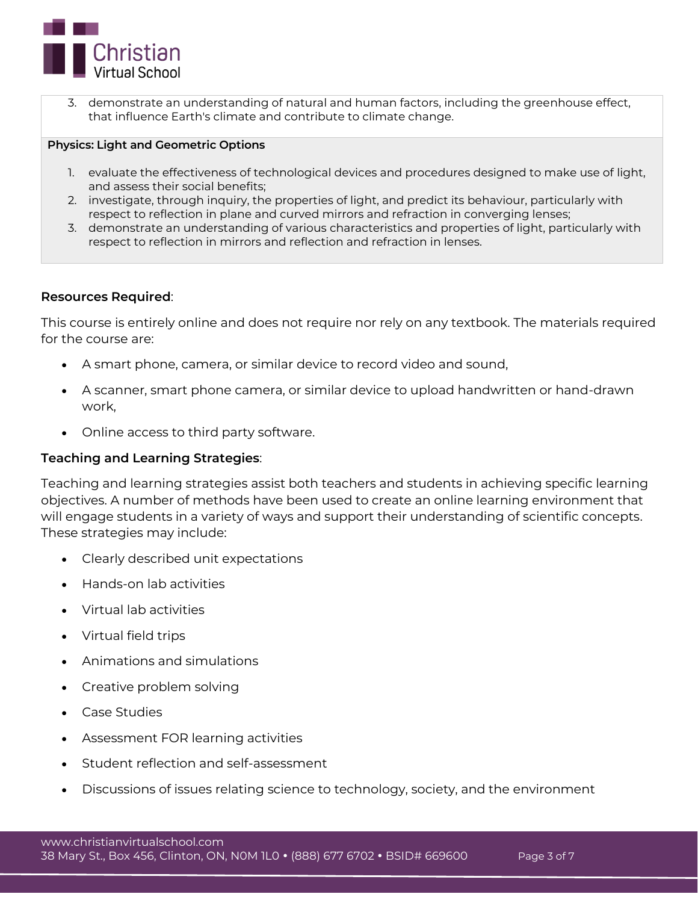

3. demonstrate an understanding of natural and human factors, including the greenhouse effect, that influence Earth's climate and contribute to climate change.

# **Physics: Light and Geometric Options**

- 1. evaluate the effectiveness of technological devices and procedures designed to make use of light, and assess their social benefits;
- 2. investigate, through inquiry, the properties of light, and predict its behaviour, particularly with respect to reflection in plane and curved mirrors and refraction in converging lenses;
- 3. demonstrate an understanding of various characteristics and properties of light, particularly with respect to reflection in mirrors and reflection and refraction in lenses.

# **Resources Required**:

This course is entirely online and does not require nor rely on any textbook. The materials required for the course are:

- A smart phone, camera, or similar device to record video and sound,
- A scanner, smart phone camera, or similar device to upload handwritten or hand-drawn work,
- Online access to third party software.

# **Teaching and Learning Strategies**:

Teaching and learning strategies assist both teachers and students in achieving specific learning objectives. A number of methods have been used to create an online learning environment that will engage students in a variety of ways and support their understanding of scientific concepts. These strategies may include:

- Clearly described unit expectations
- Hands-on lab activities
- Virtual lab activities
- Virtual field trips
- Animations and simulations
- Creative problem solving
- Case Studies
- Assessment FOR learning activities
- Student reflection and self-assessment
- Discussions of issues relating science to technology, society, and the environment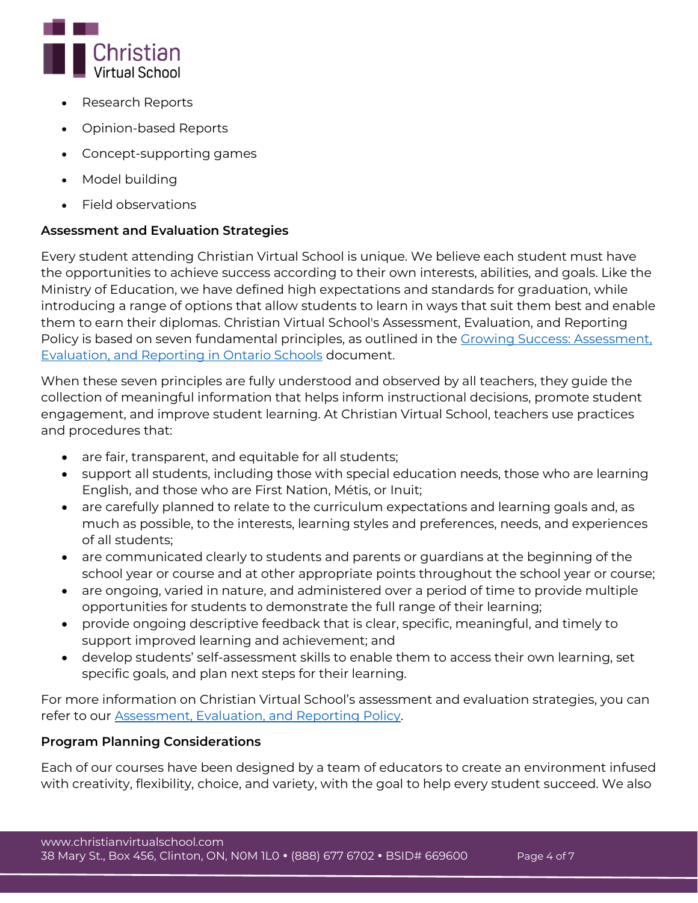

- Research Reports
- Opinion-based Reports
- Concept-supporting games
- Model building
- Field observations

# **Assessment and Evaluation Strategies**

Every student attending Christian Virtual School is unique. We believe each student must have the opportunities to achieve success according to their own interests, abilities, and goals. Like the Ministry of Education, we have defined high expectations and standards for graduation, while introducing a range of options that allow students to learn in ways that suit them best and enable them to earn their diplomas. Christian Virtual School's Assessment, Evaluation, and Reporting Policy is based on seven fundamental principles, as outlined in the Growing Success: Assessment, [Evaluation, and Reporting in Ontario Schools](http://www.edu.gov.on.ca/eng/policyfunding/growSuccess.pdf) document.

When these seven principles are fully understood and observed by all teachers, they guide the collection of meaningful information that helps inform instructional decisions, promote student engagement, and improve student learning. At Christian Virtual School, teachers use practices and procedures that:

- are fair, transparent, and equitable for all students;
- support all students, including those with special education needs, those who are learning English, and those who are First Nation, Métis, or Inuit;
- are carefully planned to relate to the curriculum expectations and learning goals and, as much as possible, to the interests, learning styles and preferences, needs, and experiences of all students;
- are communicated clearly to students and parents or guardians at the beginning of the school year or course and at other appropriate points throughout the school year or course;
- are ongoing, varied in nature, and administered over a period of time to provide multiple opportunities for students to demonstrate the full range of their learning;
- provide ongoing descriptive feedback that is clear, specific, meaningful, and timely to support improved learning and achievement; and
- develop students' self-assessment skills to enable them to access their own learning, set specific goals, and plan next steps for their learning.

For more information on Christian Virtual School's assessment and evaluation strategies, you can refer to our [Assessment, Evaluation, and Reporting Policy.](https://www.christianvirtualschool.com/wp-content/uploads/2020/07/Assessment-Evaluation-and-Reporting.pdf)

# **Program Planning Considerations**

Each of our courses have been designed by a team of educators to create an environment infused with creativity, flexibility, choice, and variety, with the goal to help every student succeed. We also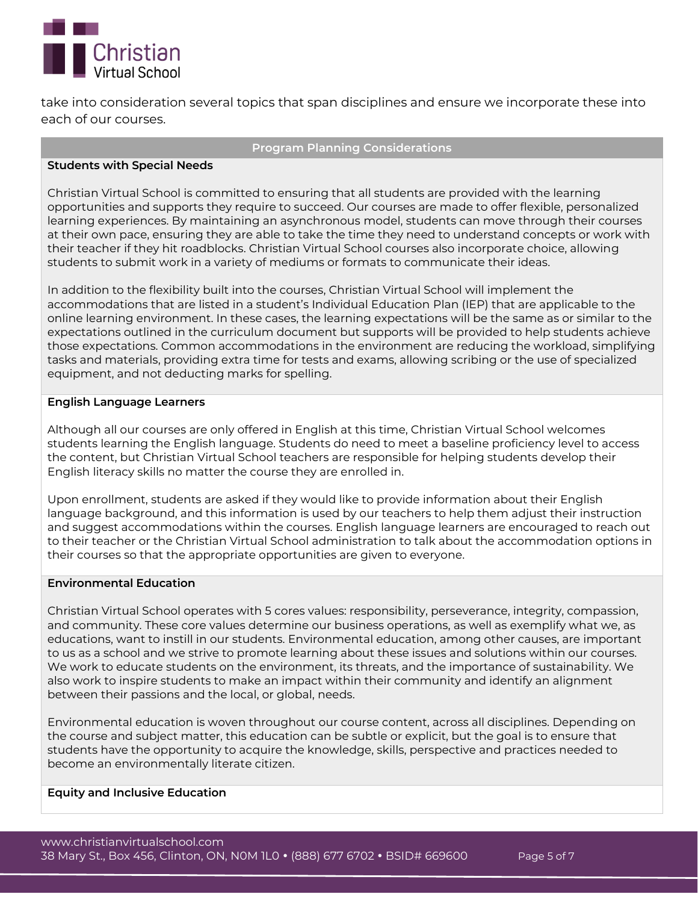

take into consideration several topics that span disciplines and ensure we incorporate these into each of our courses.

### **Program Planning Considerations**

### **Students with Special Needs**

Christian Virtual School is committed to ensuring that all students are provided with the learning opportunities and supports they require to succeed. Our courses are made to offer flexible, personalized learning experiences. By maintaining an asynchronous model, students can move through their courses at their own pace, ensuring they are able to take the time they need to understand concepts or work with their teacher if they hit roadblocks. Christian Virtual School courses also incorporate choice, allowing students to submit work in a variety of mediums or formats to communicate their ideas.

In addition to the flexibility built into the courses, Christian Virtual School will implement the accommodations that are listed in a student's Individual Education Plan (IEP) that are applicable to the online learning environment. In these cases, the learning expectations will be the same as or similar to the expectations outlined in the curriculum document but supports will be provided to help students achieve those expectations. Common accommodations in the environment are reducing the workload, simplifying tasks and materials, providing extra time for tests and exams, allowing scribing or the use of specialized equipment, and not deducting marks for spelling.

# **English Language Learners**

Although all our courses are only offered in English at this time, Christian Virtual School welcomes students learning the English language. Students do need to meet a baseline proficiency level to access the content, but Christian Virtual School teachers are responsible for helping students develop their English literacy skills no matter the course they are enrolled in.

Upon enrollment, students are asked if they would like to provide information about their English language background, and this information is used by our teachers to help them adjust their instruction and suggest accommodations within the courses. English language learners are encouraged to reach out to their teacher or the Christian Virtual School administration to talk about the accommodation options in their courses so that the appropriate opportunities are given to everyone.

# **Environmental Education**

Christian Virtual School operates with 5 cores values: responsibility, perseverance, integrity, compassion, and community. These core values determine our business operations, as well as exemplify what we, as educations, want to instill in our students. Environmental education, among other causes, are important to us as a school and we strive to promote learning about these issues and solutions within our courses. We work to educate students on the environment, its threats, and the importance of sustainability. We also work to inspire students to make an impact within their community and identify an alignment between their passions and the local, or global, needs.

Environmental education is woven throughout our course content, across all disciplines. Depending on the course and subject matter, this education can be subtle or explicit, but the goal is to ensure that students have the opportunity to acquire the knowledge, skills, perspective and practices needed to become an environmentally literate citizen.

### **Equity and Inclusive Education**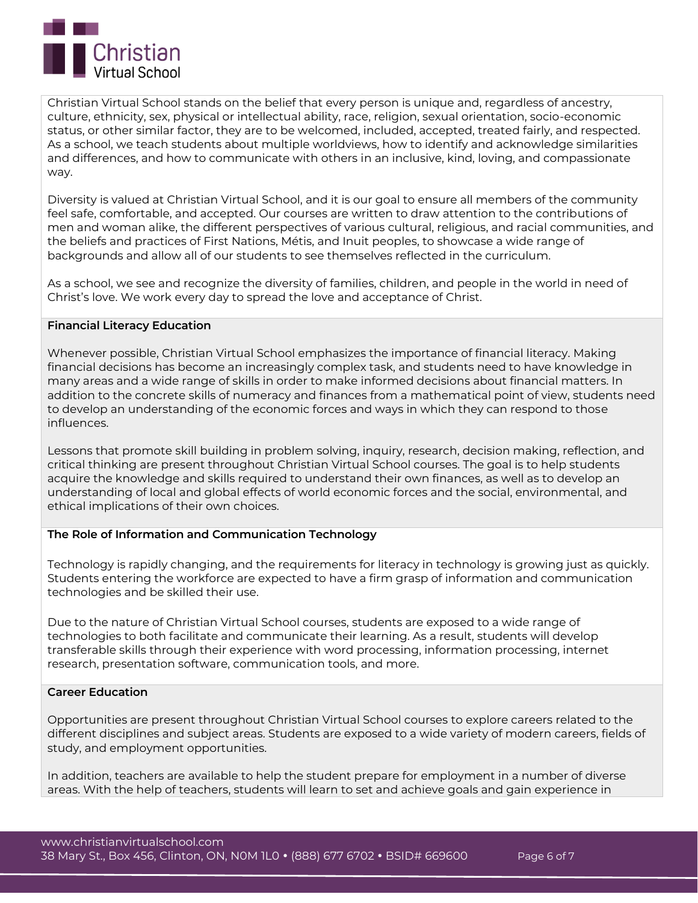

Christian Virtual School stands on the belief that every person is unique and, regardless of ancestry, culture, ethnicity, sex, physical or intellectual ability, race, religion, sexual orientation, socio-economic status, or other similar factor, they are to be welcomed, included, accepted, treated fairly, and respected. As a school, we teach students about multiple worldviews, how to identify and acknowledge similarities and differences, and how to communicate with others in an inclusive, kind, loving, and compassionate way.

Diversity is valued at Christian Virtual School, and it is our goal to ensure all members of the community feel safe, comfortable, and accepted. Our courses are written to draw attention to the contributions of men and woman alike, the different perspectives of various cultural, religious, and racial communities, and the beliefs and practices of First Nations, Métis, and Inuit peoples, to showcase a wide range of backgrounds and allow all of our students to see themselves reflected in the curriculum.

As a school, we see and recognize the diversity of families, children, and people in the world in need of Christ's love. We work every day to spread the love and acceptance of Christ.

# **Financial Literacy Education**

Whenever possible, Christian Virtual School emphasizes the importance of financial literacy. Making financial decisions has become an increasingly complex task, and students need to have knowledge in many areas and a wide range of skills in order to make informed decisions about financial matters. In addition to the concrete skills of numeracy and finances from a mathematical point of view, students need to develop an understanding of the economic forces and ways in which they can respond to those influences.

Lessons that promote skill building in problem solving, inquiry, research, decision making, reflection, and critical thinking are present throughout Christian Virtual School courses. The goal is to help students acquire the knowledge and skills required to understand their own finances, as well as to develop an understanding of local and global effects of world economic forces and the social, environmental, and ethical implications of their own choices.

#### **The Role of Information and Communication Technology**

Technology is rapidly changing, and the requirements for literacy in technology is growing just as quickly. Students entering the workforce are expected to have a firm grasp of information and communication technologies and be skilled their use.

Due to the nature of Christian Virtual School courses, students are exposed to a wide range of technologies to both facilitate and communicate their learning. As a result, students will develop transferable skills through their experience with word processing, information processing, internet research, presentation software, communication tools, and more.

#### **Career Education**

Opportunities are present throughout Christian Virtual School courses to explore careers related to the different disciplines and subject areas. Students are exposed to a wide variety of modern careers, fields of study, and employment opportunities.

In addition, teachers are available to help the student prepare for employment in a number of diverse areas. With the help of teachers, students will learn to set and achieve goals and gain experience in